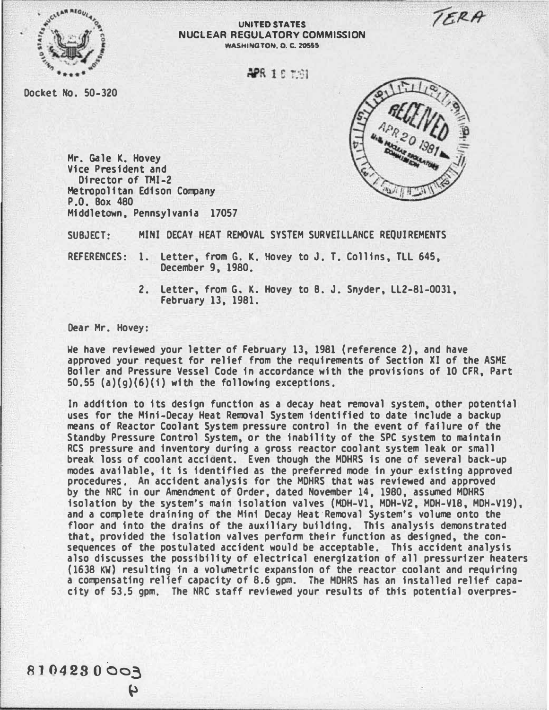TERA



## UNITED STATES NUCLEAR REGULATORY COMMISSION WASHINGTON, 0. C. 20555

**APR 1.6 1991** 

Docket No. 50-320



Mr. Gale K. Hovey Vice President and Director of THI-2 Metropolitan Edison Company P.O. Box 480 Middletown, Pennsylvania 17057

SUBJECT: MINI DECAY HEAT REMOVAL SYSTEM SURVEILLANCE REQUIREMENTS

REFERENCES: 1. letter, from G. K. Hovey to J. T. Collins, Tll 645, December 9, 1980.

> 2. letter, from G. K. Hovey to B. J. Snyder, ll2-81-0031, February 13, 1981.

Dear Hr. Hovey:

We have reviewed your letter of February 13, 1981 {reference 2), and have approved your request for relief from the requirements of Section XI of the ASHE Boiler and Pressure Vessel Code in accordance with the provisions of 10 CFR. Part  $50.55$  (a)(q)(6)(i) with the following exceptions.

In addition to its design function as a decay heat removal system, other potential uses for the Mini-Decay Heat Removal System identified to date include a backup means of Reactor Coolant System pressure control in the event of failure of the Standby Pressure Control System, or the inability of the SPC system to maintain RCS pressure and inventory during a gross reactor coolant system leak or small break loss of coolant accident. E ven though the HDHRS is one of several back-up modes available, it is identified as the preferred mode in your existing approved procedures. An accident analysis for the HDHRS that was reviewed and approved by the NRC in our Amendment of Order, dated November 14, 1980, assumed MDHRS isolation by the system's main isolation valves (MOH-V1, HDH-VZ, HDH-V18, MDH-Vl9). and a complete draining of the Mini Decay Heat·Removal System's volume onto the floor and into the drains of the auxiliary building. This analysis demonstrated that, provided the isolation valves perfonn their function as designed, the consequences of the postulated accident would be acceptable. This accident analysis also discusses the possibility of electrical energization of all pressurizer heaters (1638 KW) resulting in a volumetric expansion of the reactor coolant and requiring a compensating relief capacity of 8,6 gpm. The MDHRS has an installed relief capacity of 53,5 gpm, The NRC staff reviewed your results of this potential overpres-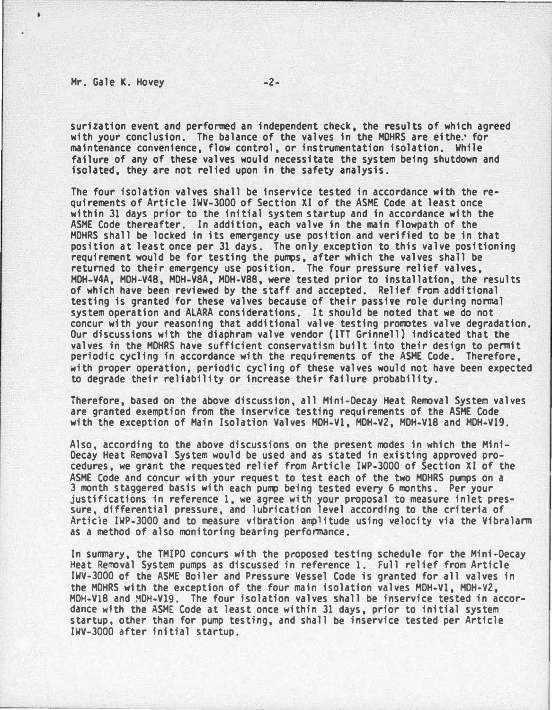## Mr. Gale K. Hovey -2-

----------------------�--------�--------------------------------- surization event and performed an independent check, the results of which agreed with your conclusion. The balance of the valves in the MDHRS are eithe. for maintenance convenience, flow control, or instrumentation isolation. While failure of any of these valves would necessitate the system being shutdown and isolated, they are not relied upon in the safety analysis.

The four isolation valves shall be fnservice tested in accordance with the requirements of Article IWV-3000 of Section XI of the ASHE Code at least once within 31 days prior to the initial system startup and in accordance with the ASHE Code thereafter. In addition, each valve in the main flowpath of the MOHRS shall be locked in its emergency use position and verified to be in that position at least once per 31 days. The only exception to this valve positioning requirement would be for testing the pumps, after which the valves shall be returned to their emergency use position. The four pressure relief valves, HDH-V4A, MDH-V48, MDH-VSA, HOH-V88, were tested prior to installation, the results of which have been reviewed by the staff and accepted. Relief from additional testing is granted for these valves because of their passive role during normal system operation and ALARA considerations. It should be noted that we do not concur with your reasoning that additional valve testing promotes valve degradation. Our discussions with the diaphram valve vendor (ITT Grinnell) indicated that the valves in the MOHRS have sufficient conservatism built into their design to permit periodic cycling in accordance with the requirements of the ASHE Code. Therefore, with proper operation, periodic cycling of these valves would not have been expected to degrade their reliability or increase their failure probability.

Therefore, based on the above discussion, all Mini-Decay Heat Removal System valves are granted exemption from the inservice testing requirements of the ASHE Code with the exception of Main Isolation Valves MOH-V1, MOH-V2, MDH-V18 and HOH-V19.

Also, according to the above discussions on the present modes in which the Mini-Decay Heat Removal System would be used and as stated in existing approved procedures, we grant the requested relief from Article IWP-3000 of Section XI of the ASME Code and concur with your request to test each of the two MDHRS pumps on a 3 month staggered basis with each pump being tested every 6 months. Per your justifications in reference 1, we agree with your proposal to measure inlet pressure, differential pressure, and lubrication level according to the criteria of Articie IWP-3000 and to measure vibration amplitude using velocity via the Vibralarm as a method of also monitoring bearing performance.

In summary, the TMIPO concurs with the proposed testing schedule for the Mini-Decay Heat Removal System pumps as discussed in reference 1. Full relief from Article IWV-3000 of the ASME Boiler and Pressure Vessel Code is granted for all valves in the MOHRS with the exception of the four main isolation valves MDH-Vl, MDH-V2, MDH-Vl8 and MDH-V19. The four isolation valves shall be inservice tested in accordance wfth the ASHE Code at least once within 31 days, prior to initial system startup, other than for pump testing, and shall be inservice tested per Article IWV-3000 after initial startup.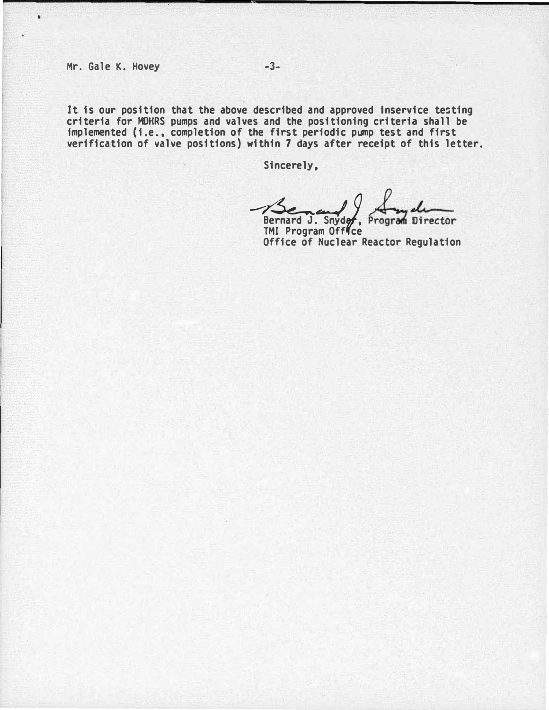$\bullet$ 

It is our position that the above described and approved inservice testing criteria for MDHRS pumps and valves and the positioning criteria shall be implemented (i.e., completion of the first periodic pump test and first verification of valve positions) within 7 days after receipt of this letter.

Sincerely,

Bernard J. Snyde, Program Director<br>TMI Program Office

Office of Nuclear Reactor Regulation